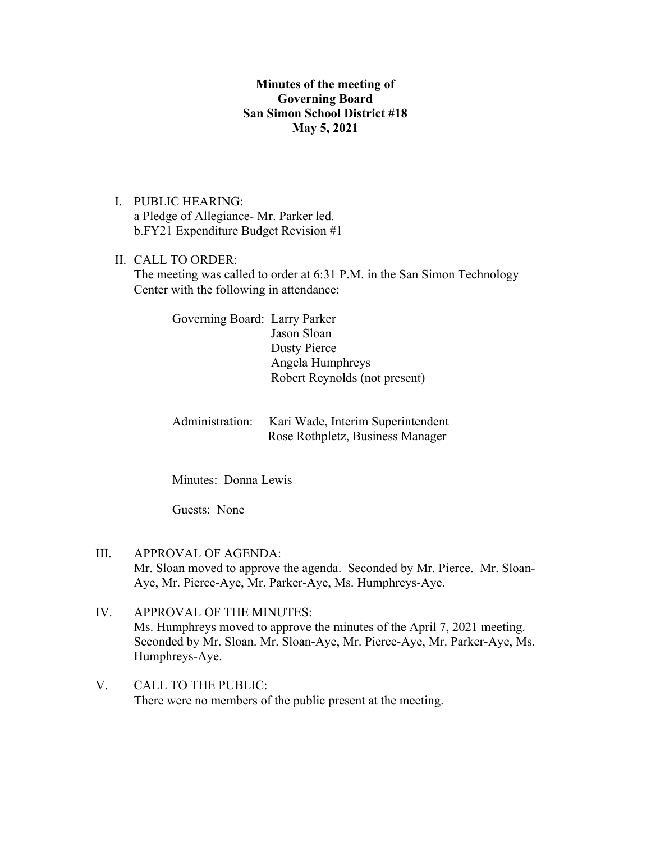## **Minutes of the meeting of Governing Board San Simon School District #18 May 5, 2021**

- I. PUBLIC HEARING: a Pledge of Allegiance- Mr. Parker led. b.FY21 Expenditure Budget Revision #1
- II. CALL TO ORDER: The meeting was called to order at 6:31 P.M. in the San Simon Technology Center with the following in attendance:

Governing Board: Larry Parker Jason Sloan Dusty Pierce Angela Humphreys Robert Reynolds (not present)

Administration: Kari Wade, Interim Superintendent Rose Rothpletz, Business Manager

Minutes: Donna Lewis

Guests: None

- III. APPROVAL OF AGENDA: Mr. Sloan moved to approve the agenda. Seconded by Mr. Pierce. Mr. Sloan-Aye, Mr. Pierce-Aye, Mr. Parker-Aye, Ms. Humphreys-Aye.
- IV. APPROVAL OF THE MINUTES: Ms. Humphreys moved to approve the minutes of the April 7, 2021 meeting. Seconded by Mr. Sloan. Mr. Sloan-Aye, Mr. Pierce-Aye, Mr. Parker-Aye, Ms. Humphreys-Aye.
- V. CALL TO THE PUBLIC: There were no members of the public present at the meeting.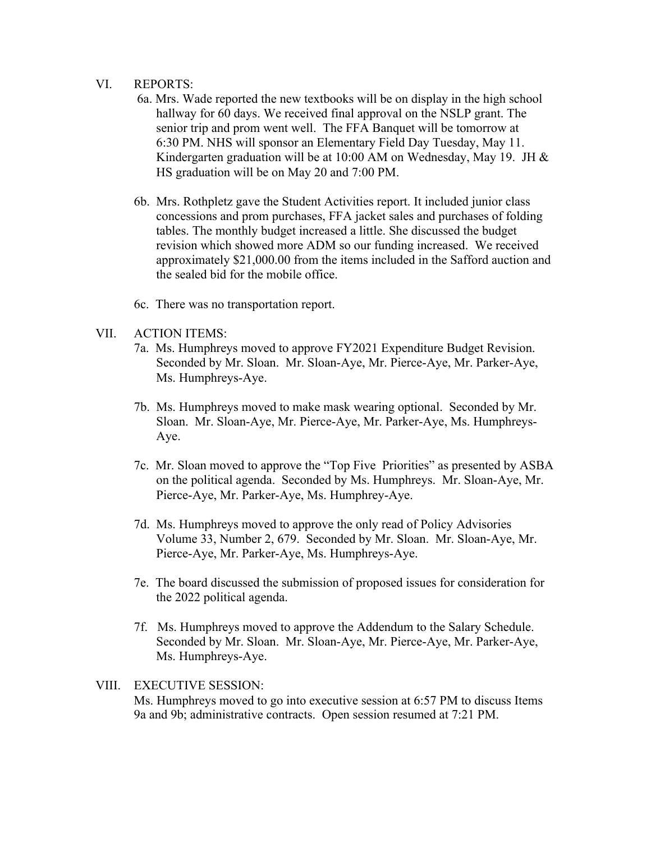## VI. REPORTS:

- 6a. Mrs. Wade reported the new textbooks will be on display in the high school hallway for 60 days. We received final approval on the NSLP grant. The senior trip and prom went well. The FFA Banquet will be tomorrow at 6:30 PM. NHS will sponsor an Elementary Field Day Tuesday, May 11. Kindergarten graduation will be at 10:00 AM on Wednesday, May 19. JH & HS graduation will be on May 20 and 7:00 PM.
- 6b. Mrs. Rothpletz gave the Student Activities report. It included junior class concessions and prom purchases, FFA jacket sales and purchases of folding tables. The monthly budget increased a little. She discussed the budget revision which showed more ADM so our funding increased. We received approximately \$21,000.00 from the items included in the Safford auction and the sealed bid for the mobile office.
- 6c. There was no transportation report.
- VII. ACTION ITEMS:
	- 7a. Ms. Humphreys moved to approve FY2021 Expenditure Budget Revision. Seconded by Mr. Sloan. Mr. Sloan-Aye, Mr. Pierce-Aye, Mr. Parker-Aye, Ms. Humphreys-Aye.
	- 7b. Ms. Humphreys moved to make mask wearing optional. Seconded by Mr. Sloan. Mr. Sloan-Aye, Mr. Pierce-Aye, Mr. Parker-Aye, Ms. Humphreys- Aye.
	- 7c. Mr. Sloan moved to approve the "Top Five Priorities" as presented by ASBA on the political agenda. Seconded by Ms. Humphreys. Mr. Sloan-Aye, Mr. Pierce-Aye, Mr. Parker-Aye, Ms. Humphrey-Aye.
	- 7d. Ms. Humphreys moved to approve the only read of Policy Advisories Volume 33, Number 2, 679. Seconded by Mr. Sloan. Mr. Sloan-Aye, Mr. Pierce-Aye, Mr. Parker-Aye, Ms. Humphreys-Aye.
	- 7e. The board discussed the submission of proposed issues for consideration for the 2022 political agenda.
	- 7f. Ms. Humphreys moved to approve the Addendum to the Salary Schedule. Seconded by Mr. Sloan. Mr. Sloan-Aye, Mr. Pierce-Aye, Mr. Parker-Aye, Ms. Humphreys-Aye.

## VIII. EXECUTIVE SESSION:

Ms. Humphreys moved to go into executive session at 6:57 PM to discuss Items 9a and 9b; administrative contracts. Open session resumed at 7:21 PM.